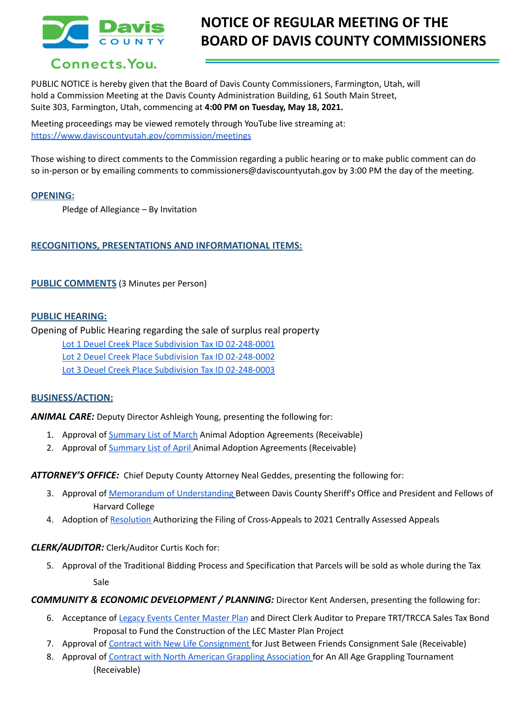

# **NOTICE OF REGULAR MEETING OF THE BOARD OF DAVIS COUNTY COMMISSIONERS**

## Connects. You.

PUBLIC NOTICE is hereby given that the Board of Davis County Commissioners, Farmington, Utah, will hold a Commission Meeting at the Davis County Administration Building, 61 South Main Street, Suite 303, Farmington, Utah, commencing at **4:00 PM on Tuesday, May 18, 2021.**

Meeting proceedings may be viewed remotely through YouTube live streaming at: <https://www.daviscountyutah.gov/commission/meetings>

Those wishing to direct comments to the Commission regarding a public hearing or to make public comment can do so in-person or by emailing comments to commissioners@daviscountyutah.gov by 3:00 PM the day of the meeting.

## **OPENING:**

Pledge of Allegiance – By Invitation

## **RECOGNITIONS, PRESENTATIONS AND INFORMATIONAL ITEMS:**

**PUBLIC COMMENTS** (3 Minutes per Person)

## **PUBLIC HEARING:**

Opening of Public Hearing regarding the sale of surplus real property

Lot 1 Deuel Creek Place Subdivision Tax ID [02-248-0001](https://drive.google.com/file/d/1JLSJFKSfnLqmbTF3r65zY6lDcoeJgknx/view?usp=drivesdk) Lot 2 Deuel Creek Place Subdivision Tax ID [02-248-0002](https://drive.google.com/file/d/1Ql5l4DY72XNXQOSgj5RKjGh7rKMxMR9L/view?usp=drivesdk)

Lot 3 Deuel Creek Place Subdivision Tax ID [02-248-0003](https://drive.google.com/file/d/1SVRaDk8zrHOiV1ZReP6sHWvJK6fcUprR/view?usp=drivesdk)

## **BUSINESS/ACTION:**

*ANIMAL CARE:* Deputy Director Ashleigh Young, presenting the following for:

- 1. Approval of [Summary](https://drive.google.com/file/d/18YqDfyLVYrqxjNDo9LfL3N4M6vvRGLu-/view?usp=drivesdk) List of March Animal Adoption Agreements (Receivable)
- 2. Approval of [Summary](https://drive.google.com/file/d/1nG-EwOZCwI3_k0cFyoGXYL3i_8G1-nc9/view?usp=drivesdk) List of April Animal Adoption Agreements (Receivable)

*ATTORNEY'S OFFICE:* Chief Deputy County Attorney Neal Geddes, presenting the following for:

- 3. Approval of Memorandum of [Understanding](https://drive.google.com/file/d/1PJvHpq6IPeAgV1FEHP0xXT_yfk_mGVH0/view?usp=drivesdk) Between Davis County Sheriff's Office and President and Fellows of Harvard College
- 4. Adoption of [Resolution](https://drive.google.com/file/d/1HnBbTK7pTSplCxHUAKI5ZN0KSQLwUhpo/view?usp=drivesdk) Authorizing the Filing of Cross-Appeals to 2021 Centrally Assessed Appeals

## *CLERK/AUDITOR:* Clerk/Auditor Curtis Koch for:

5. Approval of the Traditional Bidding Process and Specification that Parcels will be sold as whole during the Tax Sale

*COMMUNITY & ECONOMIC DEVELOPMENT / PLANNING:* Director Kent Andersen, presenting the following for:

- 6. Acceptance of Legacy Events Center [Master](https://drive.google.com/file/d/1nnBLskNjhX_UZMxZ30GIL1jQGyZ3x7Gm/view?usp=sharing) Plan and Direct Clerk Auditor to Prepare TRT/TRCCA Sales Tax Bond Proposal to Fund the Construction of the LEC Master Plan Project
- 7. Approval of Contract with New Life [Consignment](https://drive.google.com/file/d/1aGeiOCagbqEepHk4ZESdBI-KzRjRDTXe/view?usp=drivesdk) for Just Between Friends Consignment Sale (Receivable)
- 8. Approval of Contract with North American Grappling [Association](https://drive.google.com/file/d/1Mt3vTneHmF0qwBaS2Nm8cCccFAKw1chh/view?usp=drivesdk) for An All Age Grappling Tournament (Receivable)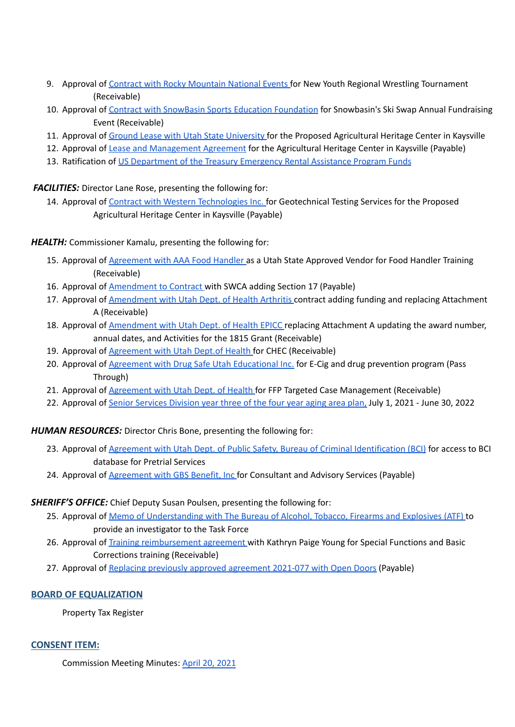- 9. Approval of Contract with Rocky [Mountain](https://drive.google.com/file/d/1SbiIm0Ox1dph_CWc-ttwubMJJYK59UAp/view?usp=drivesdk) National Events for New Youth Regional Wrestling Tournament (Receivable)
- 10. Approval of Contract with SnowBasin Sports Education [Foundation](https://drive.google.com/file/d/1ABbJFXwUhqfWMRmyahMxb5pgZQZDQJBZ/view?usp=drivesdk) for Snowbasin's Ski Swap Annual Fundraising Event (Receivable)
- 11. Approval of Ground Lease with Utah State [University](https://drive.google.com/file/d/1rvqwU4mZL37cC6YdYbtRgNiCTfTsJlQo/view?usp=drivesdk) for the Proposed Agricultural Heritage Center in Kaysville
- 12. Approval of Lease and [Management](https://drive.google.com/file/d/1bPXg_9kLg-bU_yEBE60zIqrogh-SiYM7/view?usp=drivesdk) Agreement for the Agricultural Heritage Center in Kaysville (Payable)
- 13. Ratification of US [Department](https://drive.google.com/file/d/14gJCIVepvc3EABXA1AcQZQOpmqg0TjAd/view?usp=drivesdk) of the Treasury Emergency Rental Assistance Program Funds

*FACILITIES:* Director Lane Rose, presenting the following for:

14. Approval of Contract with Western [Technologies](https://drive.google.com/file/d/1mp4F94QrrmW6tDbJlDn5kxpVa7KUY1AD/view?usp=drivesdk) Inc. for Geotechnical Testing Services for the Proposed Agricultural Heritage Center in Kaysville (Payable)

*HEALTH:* Commissioner Kamalu, presenting the following for:

- 15. Approval of **[Agreement](https://drive.google.com/file/d/1lpH06eFWjkxY00uLW_o3SvZLqNLlF59k/view?usp=drivesdk) with AAA Food Handler** as a Utah State Approved Vendor for Food Handler Training (Receivable)
- 16. Approval of [Amendment](https://drive.google.com/file/d/1OH5FIH4WGBnMKP9By3MmxxWGnU-B4se0/view?usp=drivesdk) to Contract with SWCA adding Section 17 (Payable)
- 17. Approval of [Amendment](https://drive.google.com/file/d/1Ceq3SzeGS1MTq6vZn2NqzBQbWPzpUg9Y/view?usp=drivesdk) with Utah Dept. of Health Arthritis contract adding funding and replacing Attachment A (Receivable)
- 18. Approval of [Amendment](https://drive.google.com/file/d/1sTZObClJX8v9XICXH1nW_J_soa2AetY8/view?usp=drivesdk) with Utah Dept. of Health EPICC replacing Attachment A updating the award number, annual dates, and Activities for the 1815 Grant (Receivable)
- 19. Approval of [Agreement](https://drive.google.com/file/d/1i6cARw9GzBfRdhvrfDhpK-dNZoUn6jaN/view?usp=drivesdk) with Utah Dept.of Health for CHEC (Receivable)
- 20. Approval of Agreement with Drug Safe Utah [Educational](https://drive.google.com/file/d/1vf8N2dMJPSEbGWJpbfRq3iDzTl0OztA0/view?usp=drivesdk) Inc. for E-Cig and drug prevention program (Pass Through)
- 21. Approval of [Agreement](https://drive.google.com/file/d/1rm6euZutDOiZuKU4JEZ4rPtUzYfB45Xf/view?usp=drivesdk) with Utah Dept. of Health for FFP Targeted Case Management (Receivable)
- 22. Approval of Senior [Services](https://drive.google.com/file/d/1fkL4qTyeKV_Muk-SM3ot6oVuHk3LJZ-V/view?usp=drivesdk) Division year three of the four year aging area plan, July 1, 2021 June 30, 2022

## *HUMAN RESOURCES:* Director Chris Bone, presenting the following for:

- 23. Approval of Agreement with Utah Dept. of Public Safety, Bureau of Criminal [Identification](https://drive.google.com/file/d/14X0PxzSiiRrfYdRxcT4zwseJDmZeq9Rb/view?usp=drivesdk) (BCI) for access to BCI database for Pretrial Services
- 24. Approval of [Agreement](https://drive.google.com/file/d/1tiRfiCClohkNR9htv0gTp0AXqvp3Eya2/view?usp=drivesdk) with GBS Benefit, Inc for Consultant and Advisory Services (Payable)

## *SHERIFF'S OFFICE:* Chief Deputy Susan Poulsen, presenting the following for:

- 25. Approval of Memo of [Understanding](https://drive.google.com/file/d/16rN7EDCgEYN8OG-adZ9KyupOW7H68u3v/view?usp=drivesdk) with The Bureau of Alcohol, Tobacco, Firearms and Explosives (ATF) to provide an investigator to the Task Force
- 26. Approval of Training [reimbursement](https://drive.google.com/file/d/189fFDdAVYgd2ANOGyHGzHDgoJkpsxRoV/view?usp=drivesdk) agreement with Kathryn Paige Young for Special Functions and Basic Corrections training (Receivable)
- 27. Approval of Replacing previously approved [agreement](https://drive.google.com/file/d/1JzY00wrhHPdy_BJybdvJOiD_6o8hSsXo/view?usp=drivesdk) 2021-077 with Open Doors (Payable)

## **BOARD OF EQUALIZATION**

Property Tax Register

## **CONSENT ITEM:**

Commission Meeting Minutes: April 20, [2021](https://drive.google.com/file/d/1GexJ0Twh6Imewp_YGFic1J5gfuq2moMh/view?usp=sharing)